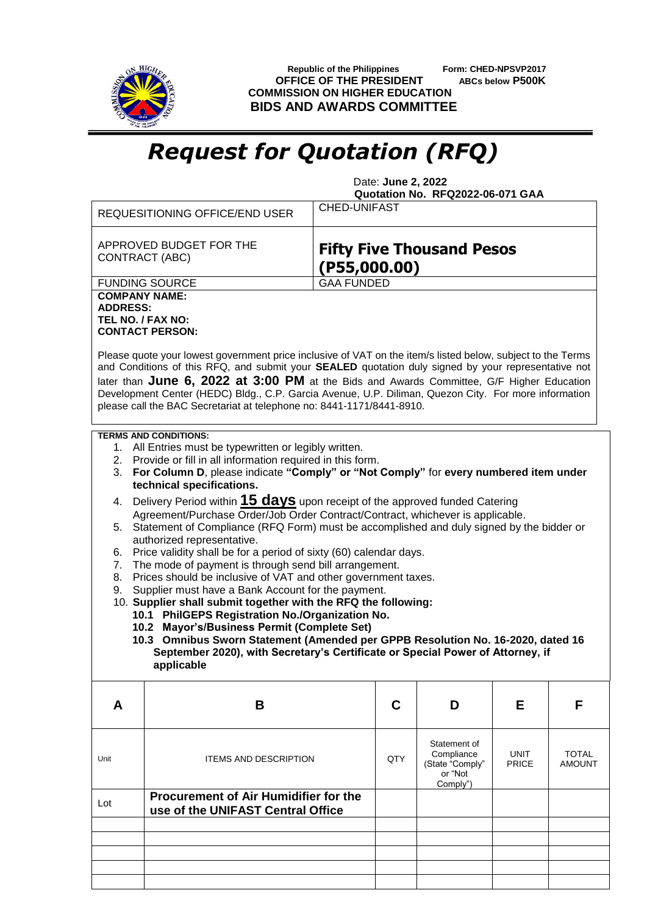

 **Republic of the Philippines Form: CHED-NPSVP2017 OFFICE OF THE PRESIDENT ABCs below P500K COMMISSION ON HIGHER EDUCATION BIDS AND AWARDS COMMITTEE**

## *Request for Quotation (RFQ)*

 Date: **June 2, 2022 Quotation No. RFQ2022-06-071 GAA**

|                                                                                                                                                                                                                                                                                                                                                                                                                                                                                                  | <b>REQUESITIONING OFFICE/END USER</b>                                                                                                                                                                   | <b>CHED-UNIFAST</b>                              |     |                            |              |               |  |  |  |
|--------------------------------------------------------------------------------------------------------------------------------------------------------------------------------------------------------------------------------------------------------------------------------------------------------------------------------------------------------------------------------------------------------------------------------------------------------------------------------------------------|---------------------------------------------------------------------------------------------------------------------------------------------------------------------------------------------------------|--------------------------------------------------|-----|----------------------------|--------------|---------------|--|--|--|
|                                                                                                                                                                                                                                                                                                                                                                                                                                                                                                  | APPROVED BUDGET FOR THE<br>CONTRACT (ABC)                                                                                                                                                               | <b>Fifty Five Thousand Pesos</b><br>(PS5,000.00) |     |                            |              |               |  |  |  |
|                                                                                                                                                                                                                                                                                                                                                                                                                                                                                                  | <b>FUNDING SOURCE</b>                                                                                                                                                                                   | <b>GAA FUNDED</b>                                |     |                            |              |               |  |  |  |
| <b>COMPANY NAME:</b>                                                                                                                                                                                                                                                                                                                                                                                                                                                                             |                                                                                                                                                                                                         |                                                  |     |                            |              |               |  |  |  |
| <b>ADDRESS:</b>                                                                                                                                                                                                                                                                                                                                                                                                                                                                                  | TEL NO. / FAX NO:                                                                                                                                                                                       |                                                  |     |                            |              |               |  |  |  |
|                                                                                                                                                                                                                                                                                                                                                                                                                                                                                                  | <b>CONTACT PERSON:</b>                                                                                                                                                                                  |                                                  |     |                            |              |               |  |  |  |
| Please quote your lowest government price inclusive of VAT on the item/s listed below, subject to the Terms<br>and Conditions of this RFQ, and submit your SEALED quotation duly signed by your representative not<br>later than June 6, 2022 at 3:00 PM at the Bids and Awards Committee, G/F Higher Education<br>Development Center (HEDC) Bldg., C.P. Garcia Avenue, U.P. Diliman, Quezon City. For more information<br>please call the BAC Secretariat at telephone no: 8441-1171/8441-8910. |                                                                                                                                                                                                         |                                                  |     |                            |              |               |  |  |  |
|                                                                                                                                                                                                                                                                                                                                                                                                                                                                                                  | <b>TERMS AND CONDITIONS:</b>                                                                                                                                                                            |                                                  |     |                            |              |               |  |  |  |
| 1. All Entries must be typewritten or legibly written.                                                                                                                                                                                                                                                                                                                                                                                                                                           |                                                                                                                                                                                                         |                                                  |     |                            |              |               |  |  |  |
| 2. Provide or fill in all information required in this form.<br>For Column D, please indicate "Comply" or "Not Comply" for every numbered item under<br>3.                                                                                                                                                                                                                                                                                                                                       |                                                                                                                                                                                                         |                                                  |     |                            |              |               |  |  |  |
| technical specifications.                                                                                                                                                                                                                                                                                                                                                                                                                                                                        |                                                                                                                                                                                                         |                                                  |     |                            |              |               |  |  |  |
| Delivery Period within <b>15 days</b> upon receipt of the approved funded Catering<br>4.                                                                                                                                                                                                                                                                                                                                                                                                         |                                                                                                                                                                                                         |                                                  |     |                            |              |               |  |  |  |
| Agreement/Purchase Order/Job Order Contract/Contract, whichever is applicable.                                                                                                                                                                                                                                                                                                                                                                                                                   |                                                                                                                                                                                                         |                                                  |     |                            |              |               |  |  |  |
|                                                                                                                                                                                                                                                                                                                                                                                                                                                                                                  | Statement of Compliance (RFQ Form) must be accomplished and duly signed by the bidder or<br>5.<br>authorized representative.<br>Price validity shall be for a period of sixty (60) calendar days.<br>6. |                                                  |     |                            |              |               |  |  |  |
|                                                                                                                                                                                                                                                                                                                                                                                                                                                                                                  |                                                                                                                                                                                                         |                                                  |     |                            |              |               |  |  |  |
| The mode of payment is through send bill arrangement.<br>7.                                                                                                                                                                                                                                                                                                                                                                                                                                      |                                                                                                                                                                                                         |                                                  |     |                            |              |               |  |  |  |
| 8.<br>9.                                                                                                                                                                                                                                                                                                                                                                                                                                                                                         | Prices should be inclusive of VAT and other government taxes.<br>Supplier must have a Bank Account for the payment.                                                                                     |                                                  |     |                            |              |               |  |  |  |
|                                                                                                                                                                                                                                                                                                                                                                                                                                                                                                  | 10. Supplier shall submit together with the RFQ the following:                                                                                                                                          |                                                  |     |                            |              |               |  |  |  |
|                                                                                                                                                                                                                                                                                                                                                                                                                                                                                                  | 10.1 PhilGEPS Registration No./Organization No.                                                                                                                                                         |                                                  |     |                            |              |               |  |  |  |
|                                                                                                                                                                                                                                                                                                                                                                                                                                                                                                  | 10.2 Mayor's/Business Permit (Complete Set)                                                                                                                                                             |                                                  |     |                            |              |               |  |  |  |
|                                                                                                                                                                                                                                                                                                                                                                                                                                                                                                  | 10.3 Omnibus Sworn Statement (Amended per GPPB Resolution No. 16-2020, dated 16<br>September 2020), with Secretary's Certificate or Special Power of Attorney, if                                       |                                                  |     |                            |              |               |  |  |  |
|                                                                                                                                                                                                                                                                                                                                                                                                                                                                                                  | applicable                                                                                                                                                                                              |                                                  |     |                            |              |               |  |  |  |
|                                                                                                                                                                                                                                                                                                                                                                                                                                                                                                  |                                                                                                                                                                                                         |                                                  |     |                            |              |               |  |  |  |
| A                                                                                                                                                                                                                                                                                                                                                                                                                                                                                                | В                                                                                                                                                                                                       |                                                  | C   | D                          | Е            | F             |  |  |  |
|                                                                                                                                                                                                                                                                                                                                                                                                                                                                                                  |                                                                                                                                                                                                         |                                                  |     |                            |              |               |  |  |  |
|                                                                                                                                                                                                                                                                                                                                                                                                                                                                                                  |                                                                                                                                                                                                         |                                                  |     | Statement of<br>Compliance | UNIT         | <b>TOTAL</b>  |  |  |  |
| Unit                                                                                                                                                                                                                                                                                                                                                                                                                                                                                             | <b>ITEMS AND DESCRIPTION</b>                                                                                                                                                                            |                                                  | QTY | (State "Comply"            | <b>PRICE</b> | <b>AMOUNT</b> |  |  |  |
|                                                                                                                                                                                                                                                                                                                                                                                                                                                                                                  |                                                                                                                                                                                                         |                                                  |     | or "Not<br>Comply")        |              |               |  |  |  |
|                                                                                                                                                                                                                                                                                                                                                                                                                                                                                                  | <b>Procurement of Air Humidifier for the</b>                                                                                                                                                            |                                                  |     |                            |              |               |  |  |  |
| Lot                                                                                                                                                                                                                                                                                                                                                                                                                                                                                              | use of the UNIFAST Central Office                                                                                                                                                                       |                                                  |     |                            |              |               |  |  |  |
|                                                                                                                                                                                                                                                                                                                                                                                                                                                                                                  |                                                                                                                                                                                                         |                                                  |     |                            |              |               |  |  |  |
|                                                                                                                                                                                                                                                                                                                                                                                                                                                                                                  |                                                                                                                                                                                                         |                                                  |     |                            |              |               |  |  |  |
|                                                                                                                                                                                                                                                                                                                                                                                                                                                                                                  |                                                                                                                                                                                                         |                                                  |     |                            |              |               |  |  |  |
|                                                                                                                                                                                                                                                                                                                                                                                                                                                                                                  |                                                                                                                                                                                                         |                                                  |     |                            |              |               |  |  |  |
|                                                                                                                                                                                                                                                                                                                                                                                                                                                                                                  |                                                                                                                                                                                                         |                                                  |     |                            |              |               |  |  |  |